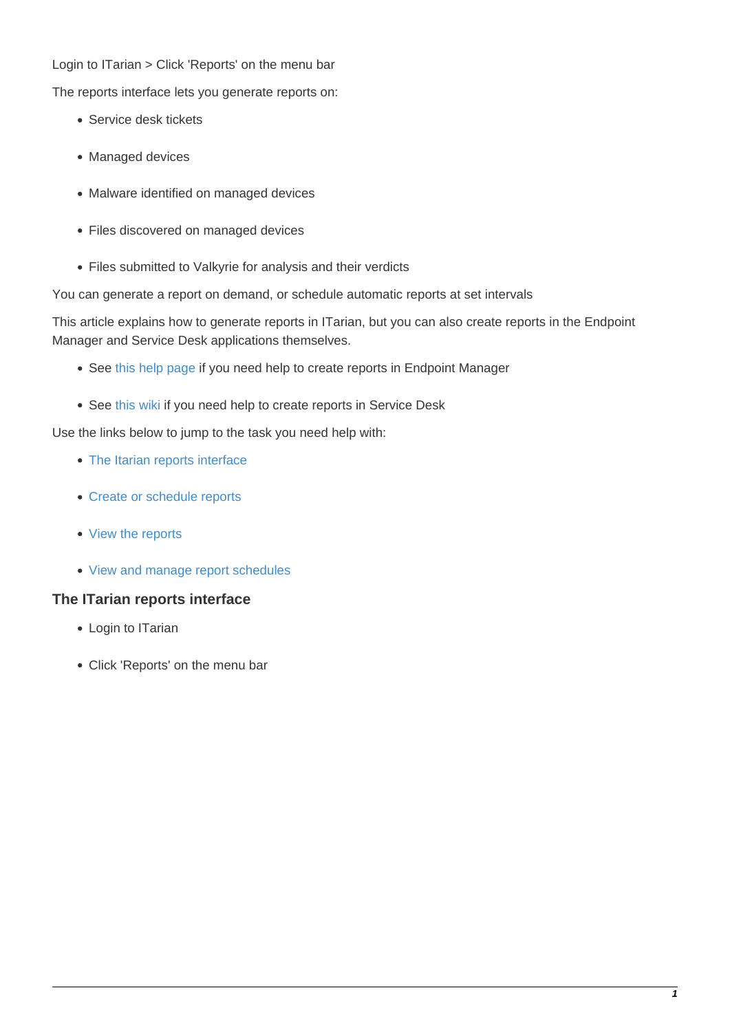#### Login to ITarian > Click 'Reports' on the menu bar

The reports interface lets you generate reports on:

- Service desk tickets
- Managed devices
- Malware identified on managed devices
- Files discovered on managed devices
- Files submitted to Valkyrie for analysis and their verdicts

You can generate a report on demand, or schedule automatic reports at set intervals

This article explains how to generate reports in ITarian, but you can also create reports in the Endpoint Manager and Service Desk applications themselves.

- See [this help page](https://community.itarian.com/help/topic-459-1-1005-14764-The-Dashboard.html#reports) if you need help to create reports in Endpoint Manager
- See [this wiki](https://wiki.itarian.com/frontend/web/topic/how-to-generate-reports-in-service-desk) if you need help to create reports in Service Desk

Use the links below to jump to the task you need help with:

- [The Itarian reports interface](#page-0-0)
- [Create or schedule reports](#page-2-0)
- [View the reports](#page-6-0)
- [View and manage report schedules](#page-7-0)

### <span id="page-0-0"></span>**The ITarian reports interface**

- Login to ITarian
- Click 'Reports' on the menu bar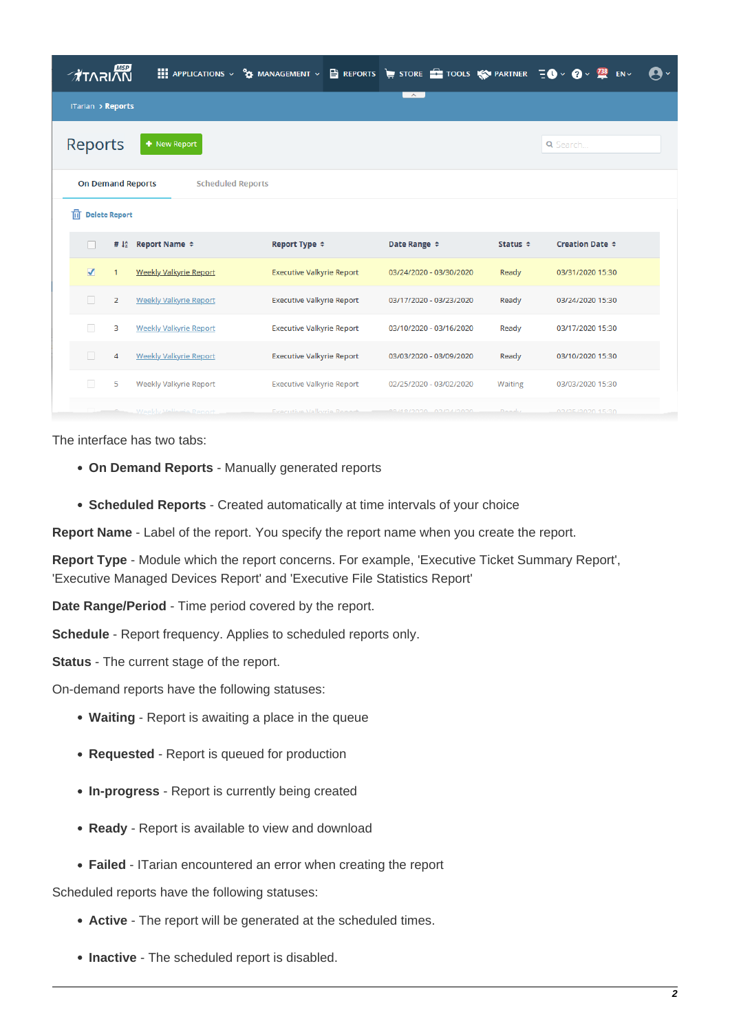| <b>TARIAN</b>                                        |                |                               | <b>EXECUTIONS</b> > $\frac{9}{9}$ MANAGEMENT > $\frac{15}{12}$ REPORTS $\frac{1}{17}$ STORE $\frac{1}{17}$ TOOLS $\frac{1}{17}$ PARTNER $\frac{1}{17}$ $\sqrt{9}$ > $\frac{73}{17}$ |                              |               | $EN \times$          | Дv |
|------------------------------------------------------|----------------|-------------------------------|-------------------------------------------------------------------------------------------------------------------------------------------------------------------------------------|------------------------------|---------------|----------------------|----|
| ITarian > Reports                                    |                |                               |                                                                                                                                                                                     | $\sim$ $\sim$                |               |                      |    |
| Reports                                              |                | + New Report                  |                                                                                                                                                                                     |                              |               | Q Search             |    |
| <b>On Demand Reports</b><br><b>Scheduled Reports</b> |                |                               |                                                                                                                                                                                     |                              |               |                      |    |
| 朮<br><b>Delete Report</b>                            |                |                               |                                                                                                                                                                                     |                              |               |                      |    |
| H                                                    | # 12           | Report Name $\div$            | Report Type ≑                                                                                                                                                                       | Date Range $\Leftrightarrow$ | Status $\div$ | Creation Date $\div$ |    |
| $\overline{\mathcal{A}}$                             | 1              | <b>Weekly Valkyrie Report</b> | <b>Executive Valkyrie Report</b>                                                                                                                                                    | 03/24/2020 - 03/30/2020      | Ready         | 03/31/2020 15:30     |    |
| П                                                    | $\overline{2}$ | <b>Weekly Valkyrie Report</b> | <b>Executive Valkyrie Report</b>                                                                                                                                                    | 03/17/2020 - 03/23/2020      | Ready         | 03/24/2020 15:30     |    |
| $\Box$                                               | 3              | <b>Weekly Valkyrie Report</b> | <b>Executive Valkyrie Report</b>                                                                                                                                                    | 03/10/2020 - 03/16/2020      | Ready         | 03/17/2020 15:30     |    |
| $\Box$                                               | $\overline{4}$ | <b>Weekly Valkyrie Report</b> | <b>Executive Valkyrie Report</b>                                                                                                                                                    | 03/03/2020 - 03/09/2020      | Ready         | 03/10/2020 15:30     |    |
| $\overline{\phantom{a}}$                             | 5              | Weekly Valkyrie Report        | <b>Executive Valkyrie Report</b>                                                                                                                                                    | 02/25/2020 - 03/02/2020      | Waiting       | 03/03/2020 15:30     |    |
|                                                      |                | Weekly Vallerio Renort        | <b>Everutive Valkyrie Report</b>                                                                                                                                                    | <b>BRUSINGIO ACACIONIST</b>  | Donald        | 02/25/2020 15:30     |    |

The interface has two tabs:

- **On Demand Reports** Manually generated reports
- **Scheduled Reports**  Created automatically at time intervals of your choice

**Report Name** - Label of the report. You specify the report name when you create the report.

**Report Type** - Module which the report concerns. For example, 'Executive Ticket Summary Report', 'Executive Managed Devices Report' and 'Executive File Statistics Report'

**Date Range/Period** - Time period covered by the report.

**Schedule** - Report frequency. Applies to scheduled reports only.

**Status** - The current stage of the report.

On-demand reports have the following statuses:

- **Waiting** Report is awaiting a place in the queue
- **Requested** Report is queued for production
- **In-progress**  Report is currently being created
- **Ready** Report is available to view and download
- **Failed** ITarian encountered an error when creating the report

Scheduled reports have the following statuses:

- **Active** The report will be generated at the scheduled times.
- **Inactive** The scheduled report is disabled.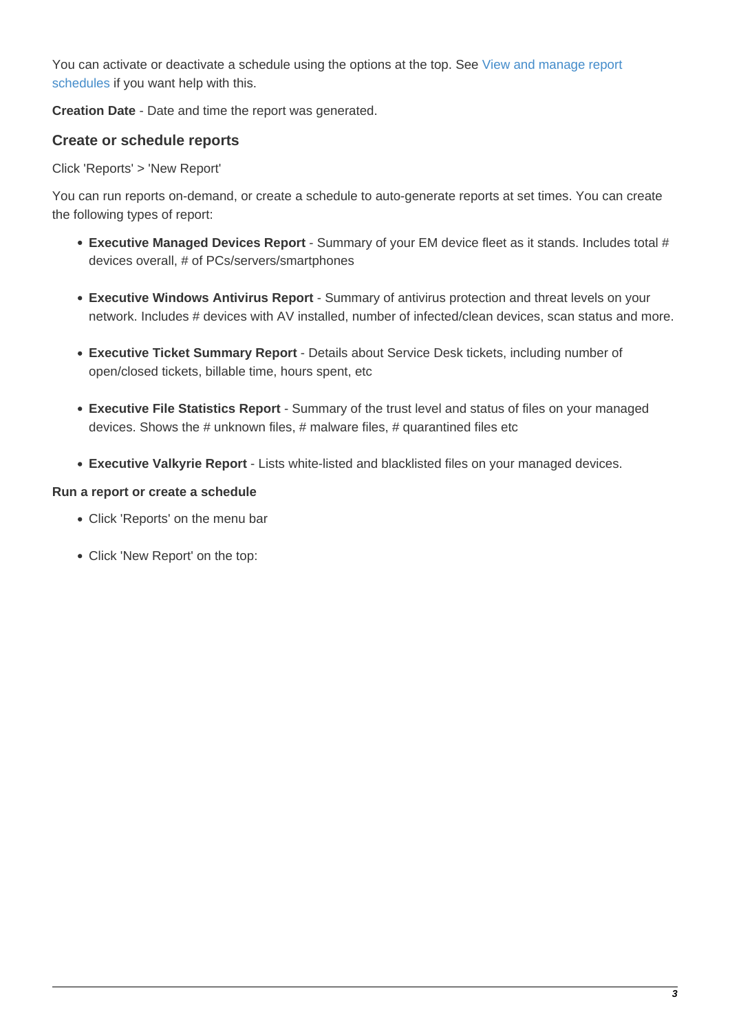You can activate or deactivate a schedule using the options at the top. See [View and manage report](#page-7-0) [schedules](#page-7-0) if you want help with this.

**Creation Date** - Date and time the report was generated.

# <span id="page-2-0"></span>**Create or schedule reports**

Click 'Reports' > 'New Report'

You can run reports on-demand, or create a schedule to auto-generate reports at set times. You can create the following types of report:

- **Executive Managed Devices Report** Summary of your EM device fleet as it stands. Includes total # devices overall, # of PCs/servers/smartphones
- **Executive Windows Antivirus Report**  Summary of antivirus protection and threat levels on your network. Includes # devices with AV installed, number of infected/clean devices, scan status and more.
- **Executive Ticket Summary Report**  Details about Service Desk tickets, including number of open/closed tickets, billable time, hours spent, etc
- **Executive File Statistics Report**  Summary of the trust level and status of files on your managed devices. Shows the # unknown files, # malware files, # quarantined files etc
- **Executive Valkyrie Report** Lists white-listed and blacklisted files on your managed devices.

#### **Run a report or create a schedule**

- Click 'Reports' on the menu bar
- Click 'New Report' on the top: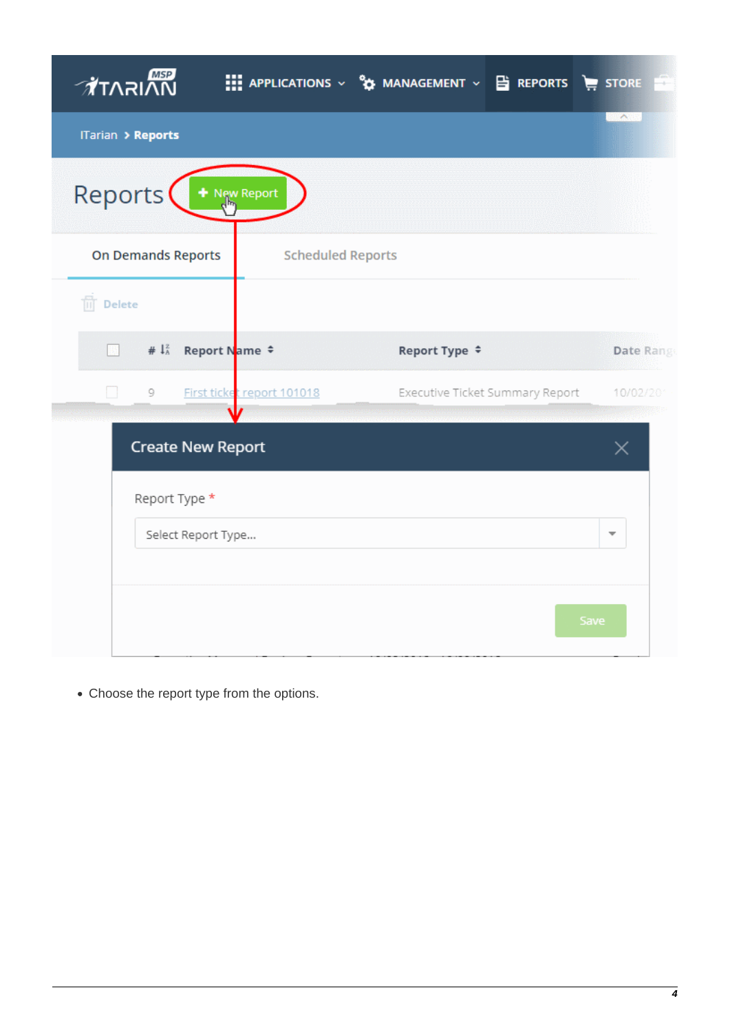| ∕∦ี่™ี⊼า∧ล<br><b>III</b> APPLICATIONS $\vee$ $\mathbf{\hat{y}}$ MANAGEMENT $\vee$ <b>E</b> REPORTS <b>E</b> STORE | Ŧ                        |
|-------------------------------------------------------------------------------------------------------------------|--------------------------|
| ITarian > Reports                                                                                                 | <b>CAR</b>               |
| Reports<br>New Report                                                                                             |                          |
| <b>On Demands Reports</b><br><b>Scheduled Reports</b>                                                             |                          |
| $\overline{\mathbb{m}}$ Delete                                                                                    |                          |
| # $\downarrow_A^2$<br>Report Name ≑<br>Report Type ≑                                                              | Date Range               |
| l.<br>9<br>First ticket report 101018<br>Executive Ticket Summary Report                                          | 10/02/201                |
| <b>Create New Report</b>                                                                                          | Х                        |
| Report Type *                                                                                                     |                          |
| Select Report Type                                                                                                | $\overline{\phantom{a}}$ |
|                                                                                                                   |                          |
| Save                                                                                                              |                          |

Choose the report type from the options.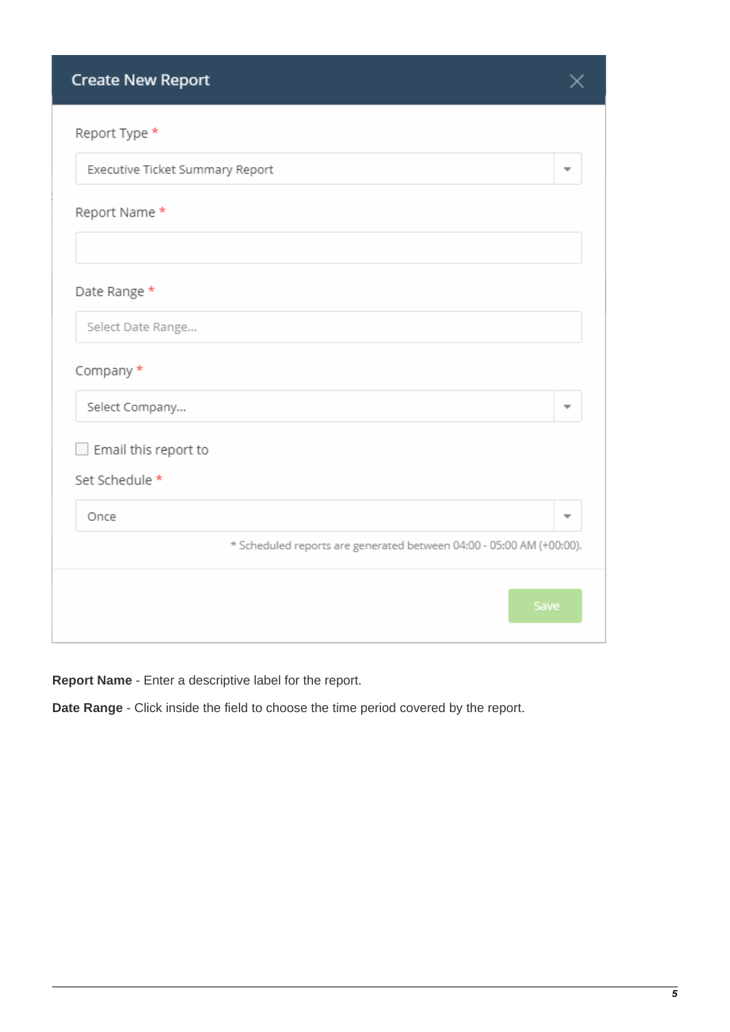| <b>Create New Report</b>                                             |      |
|----------------------------------------------------------------------|------|
| Report Type *                                                        |      |
| Executive Ticket Summary Report                                      |      |
| Report Name *                                                        |      |
| Date Range *                                                         |      |
| Select Date Range                                                    |      |
| Company *                                                            |      |
| Select Company                                                       | ÷    |
| Email this report to                                                 |      |
| Set Schedule *                                                       |      |
| Once                                                                 | v    |
| * Scheduled reports are generated between 04:00 - 05:00 AM (+00:00). |      |
|                                                                      | Save |

**Report Name** - Enter a descriptive label for the report.

**Date Range** - Click inside the field to choose the time period covered by the report.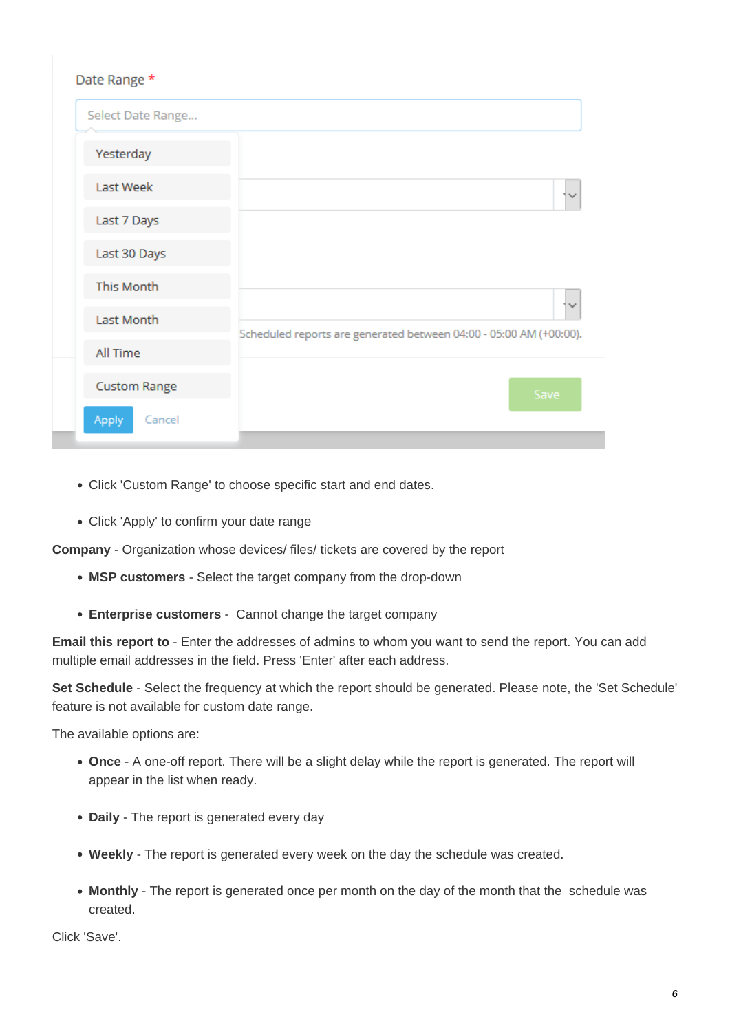| Date Range *        |                                                                    |  |  |  |
|---------------------|--------------------------------------------------------------------|--|--|--|
| Select Date Range   |                                                                    |  |  |  |
| Yesterday           |                                                                    |  |  |  |
| Last Week           |                                                                    |  |  |  |
| Last 7 Days         |                                                                    |  |  |  |
| Last 30 Days        |                                                                    |  |  |  |
| This Month          |                                                                    |  |  |  |
| Last Month          | Scheduled reports are generated between 04:00 - 05:00 AM (+00:00). |  |  |  |
| All Time            |                                                                    |  |  |  |
| <b>Custom Range</b> | Save                                                               |  |  |  |
| Apply<br>Cancel     |                                                                    |  |  |  |

- Click 'Custom Range' to choose specific start and end dates.
- Click 'Apply' to confirm your date range

**Company** - Organization whose devices/ files/ tickets are covered by the report

- **MSP customers** Select the target company from the drop-down
- **Enterprise customers** Cannot change the target company

**Email this report to** - Enter the addresses of admins to whom you want to send the report. You can add multiple email addresses in the field. Press 'Enter' after each address.

**Set Schedule** - Select the frequency at which the report should be generated. Please note, the 'Set Schedule' feature is not available for custom date range.

The available options are:

- **Once** A one-off report. There will be a slight delay while the report is generated. The report will appear in the list when ready.
- **Daily** The report is generated every day
- **Weekly** The report is generated every week on the day the schedule was created.
- **Monthly** The report is generated once per month on the day of the month that the schedule was created.

Click 'Save'.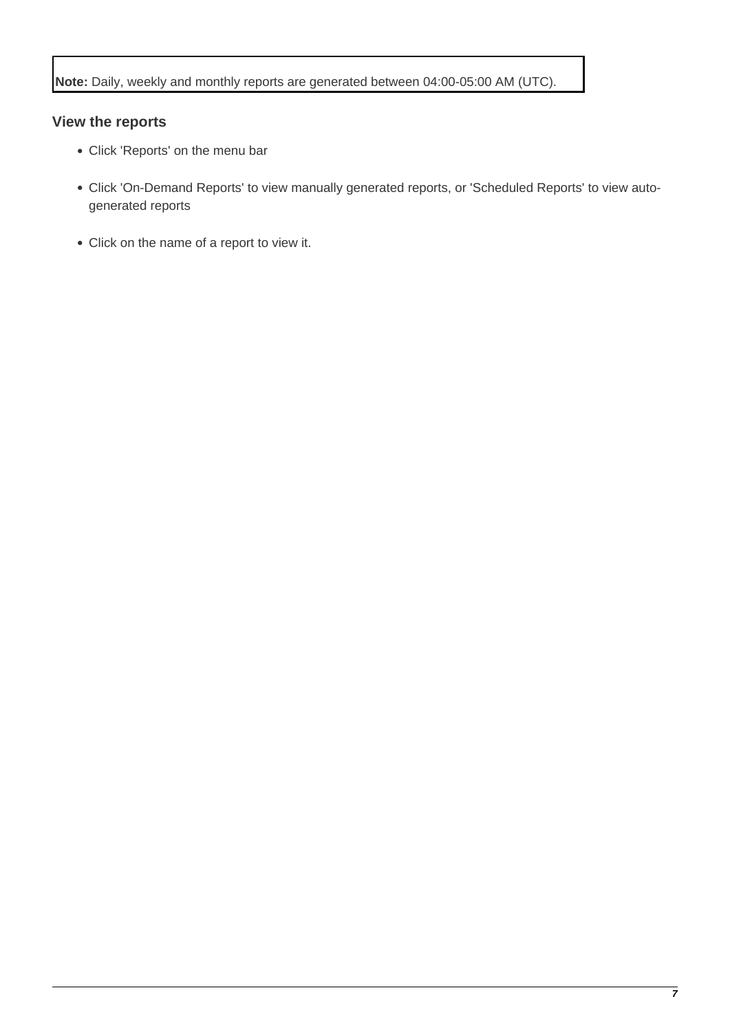# <span id="page-6-0"></span>**View the reports**

- Click 'Reports' on the menu bar
- Click 'On-Demand Reports' to view manually generated reports, or 'Scheduled Reports' to view autogenerated reports
- Click on the name of a report to view it.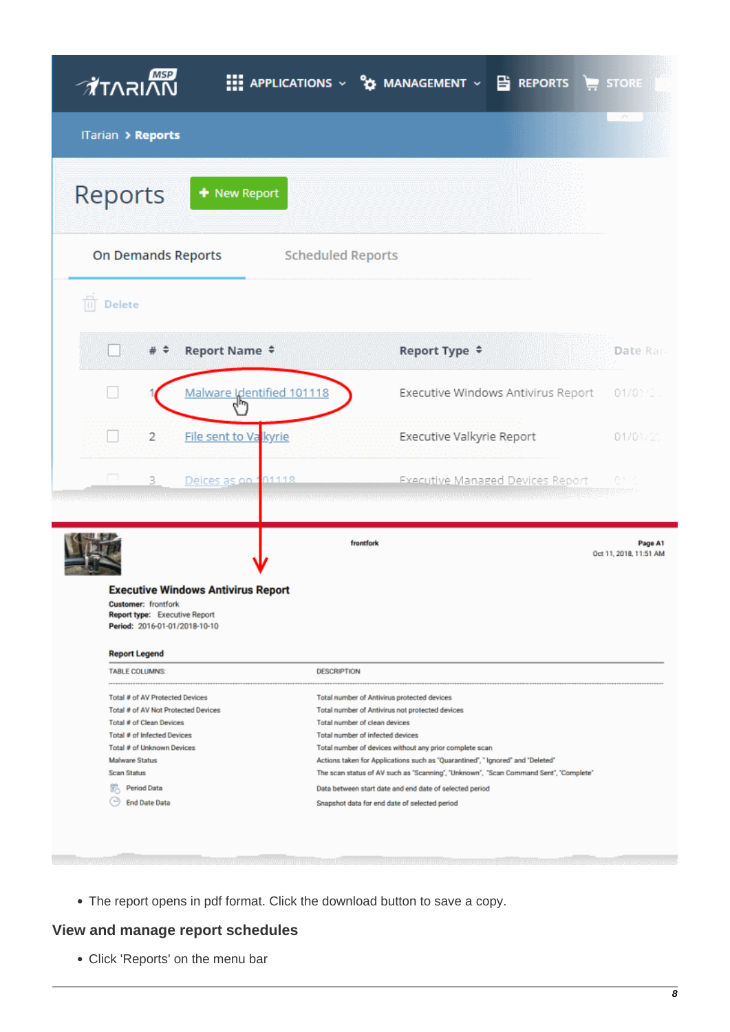| <u>∕ਕੈ</u> T∧ਨ।∧ਿੰ                                                                                                                                                                                                                                       |                           |                                                                                                                                                                                                                                                                                                                                                                                                                                                                                                                      |                           | <b>III</b> APPLICATIONS $\vee$ <b>22</b> MANAGEMENT $\vee$ <b>B</b> REPORTS <b>E</b> STORE |                                   |
|----------------------------------------------------------------------------------------------------------------------------------------------------------------------------------------------------------------------------------------------------------|---------------------------|----------------------------------------------------------------------------------------------------------------------------------------------------------------------------------------------------------------------------------------------------------------------------------------------------------------------------------------------------------------------------------------------------------------------------------------------------------------------------------------------------------------------|---------------------------|--------------------------------------------------------------------------------------------|-----------------------------------|
| ITarian > Reports                                                                                                                                                                                                                                        |                           |                                                                                                                                                                                                                                                                                                                                                                                                                                                                                                                      |                           |                                                                                            | <b>AN</b>                         |
| Reports                                                                                                                                                                                                                                                  | + New Report              |                                                                                                                                                                                                                                                                                                                                                                                                                                                                                                                      |                           |                                                                                            |                                   |
| <b>On Demands Reports</b>                                                                                                                                                                                                                                |                           | <b>Scheduled Reports</b>                                                                                                                                                                                                                                                                                                                                                                                                                                                                                             |                           |                                                                                            |                                   |
| ñ<br>Delete                                                                                                                                                                                                                                              |                           |                                                                                                                                                                                                                                                                                                                                                                                                                                                                                                                      |                           |                                                                                            |                                   |
|                                                                                                                                                                                                                                                          | Report Name $\div$        |                                                                                                                                                                                                                                                                                                                                                                                                                                                                                                                      | Report Type ≑             |                                                                                            | Date Ran                          |
|                                                                                                                                                                                                                                                          | Malware Identified 101118 |                                                                                                                                                                                                                                                                                                                                                                                                                                                                                                                      |                           | Executive Windows Antivirus Report                                                         | 01/03/2.                          |
| 2                                                                                                                                                                                                                                                        | File sent to Va kyrie     |                                                                                                                                                                                                                                                                                                                                                                                                                                                                                                                      | Executive Valkyrie Report |                                                                                            | 01/03/21                          |
| p.<br>3.<br><u> Kabupatén Tanggal Kabupatèn Jamang Kabupatén </u>                                                                                                                                                                                        | 01118<br>Deices as on 1   |                                                                                                                                                                                                                                                                                                                                                                                                                                                                                                                      |                           | Executive Managed Devices Report                                                           | 918                               |
| <b>Executive Windows Antivirus Report</b><br><b>Customer:</b> frontfork<br><b>Report type: Executive Report</b><br>Period: 2016-01-01/2018-10-10                                                                                                         |                           | frontfork                                                                                                                                                                                                                                                                                                                                                                                                                                                                                                            |                           |                                                                                            | Page A1<br>Oct 11, 2018, 11:51 AM |
| <b>Report Legend</b>                                                                                                                                                                                                                                     |                           |                                                                                                                                                                                                                                                                                                                                                                                                                                                                                                                      |                           |                                                                                            |                                   |
| <b>TABLE COLUMNS:</b>                                                                                                                                                                                                                                    |                           | <b>DESCRIPTION</b>                                                                                                                                                                                                                                                                                                                                                                                                                                                                                                   |                           |                                                                                            |                                   |
| Total # of AV Protected Devices<br>Total # of AV Not Protected Devices<br>Total # of Clean Devices<br>Total # of Infected Devices<br>Total # of Unknown Devices<br>Malware Status<br><b>Scan Status</b><br><b>FR</b> Period Data<br><b>End Date Data</b> |                           | Total number of Antivirus protected devices<br>Total number of Antivirus not protected devices<br>Total number of clean devices<br>Total number of infected devices<br>Total number of devices without any prior complete scan<br>Actions taken for Applications such as "Quarantined", " Ignored" and "Deleted"<br>The scan status of AV such as "Scanning", "Unknown", "Scan Command Sent", "Complete"<br>Data between start date and end date of selected period<br>Snapshot data for end date of selected period |                           |                                                                                            |                                   |
|                                                                                                                                                                                                                                                          |                           |                                                                                                                                                                                                                                                                                                                                                                                                                                                                                                                      |                           |                                                                                            |                                   |

The report opens in pdf format. Click the download button to save a copy.

# <span id="page-7-0"></span>**View and manage report schedules**

**Low** 

Click 'Reports' on the menu bar